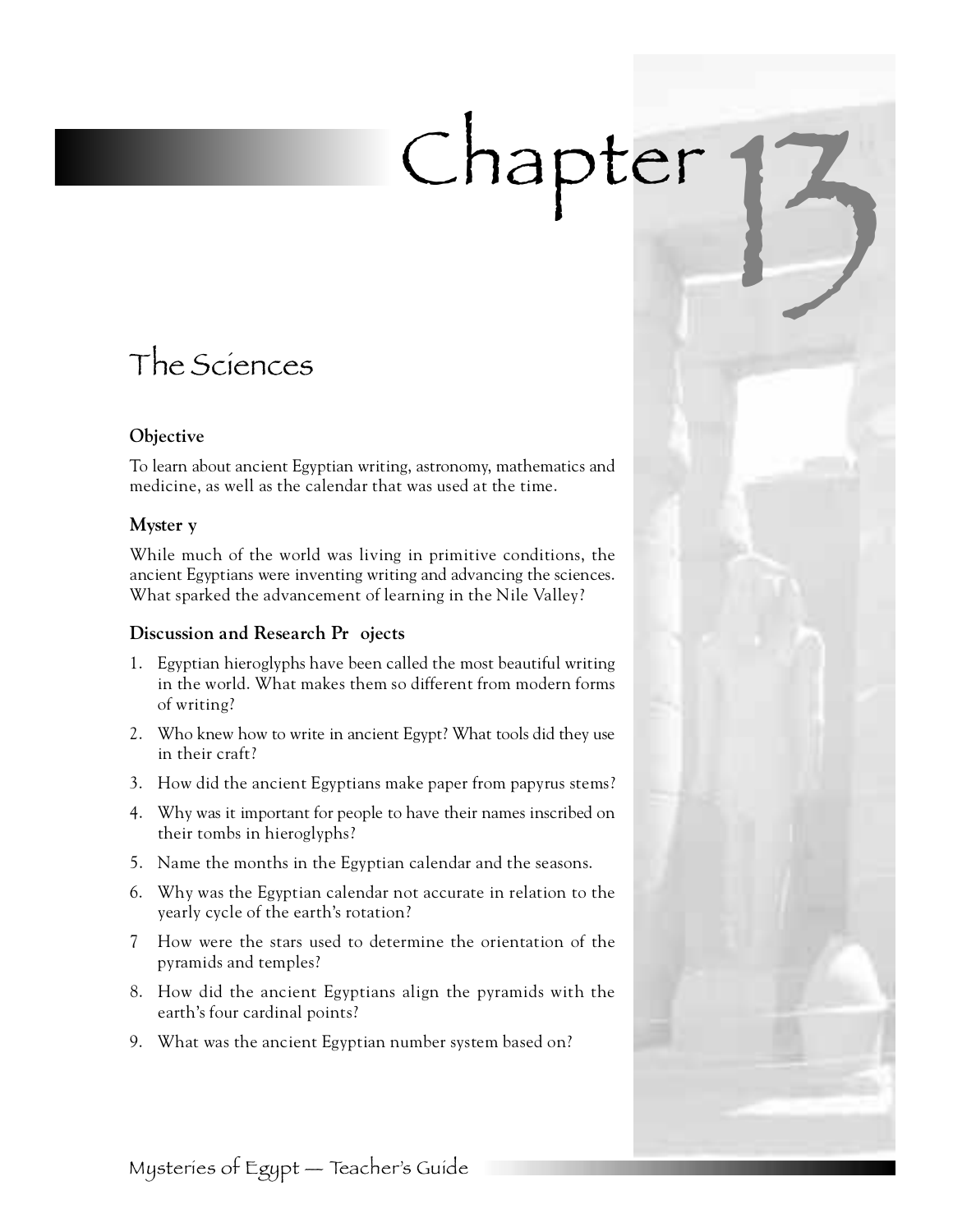# Chapter

# The Sciences

# **Objective**

To learn about ancient Egyptian writing, astronomy, mathematics and medicine, as well as the calendar that was used at the time.

# **Myster y**

While much of the world was living in primitive conditions, the ancient Egyptians were inventing writing and advancing the sciences. What sparked the advancement of learning in the Nile Valley?

# **Discussion and Research Pr** ojects

- 1 . Egyptian hieroglyphs have been called the most beautiful writing in the world. What makes them so different from modern forms of writing?
- 2. Who knew how to write in ancient Egypt? What tools did they use in their craft?
- 3 . How did the ancient Egyptians make paper from papyrus stems?
- 4 . Why was it important for people to have their names inscribed on their tombs in hieroglyphs?
- 5 . Name the months in the Egyptian calendar and the seasons.
- 6 . Why was the Egyptian calendar not accurate in relation to the yearly cycle of the earth's rotation?
- 7 How were the stars used to determine the orientation of the pyramids and temples?
- 8 . How did the ancient Egyptians align the pyramids with the earth's four cardinal points?
- 9. What was the ancient Egyptian number system based on?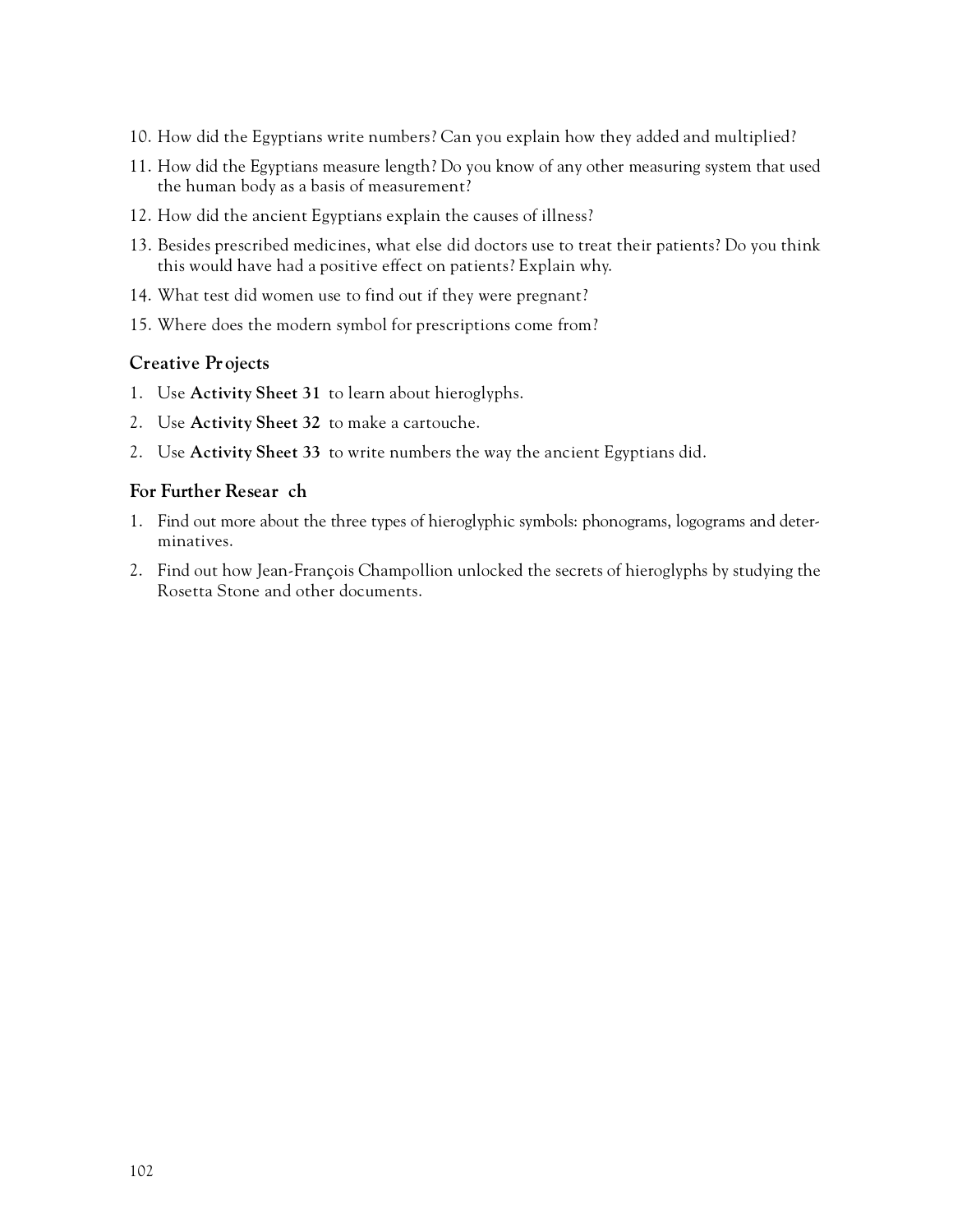- 10. How did the Egyptians write numbers? Can you explain how they added and multiplied?
- 1 1 . How did the Egyptians measure length? Do you know of any other measuring system that used the human body as a basis of measurement?
- 12. How did the ancient Egyptians explain the causes of illness?
- 1 3 . Besides prescribed medicines, what else did doctors use to treat their patients? Do you think this would have had a positive effect on patients? Explain why.
- 14. What test did women use to find out if they were pregnant?
- 15. Where does the modern symbol for prescriptions come from?

# **Creative Projects**

- 1. Use **Activity Sheet 31** to learn about hieroglyphs.
- 2. Use **Activity Sheet 32** to make a cartouche.
- 2. Use **Activity Sheet 33** to write numbers the way the ancient Egyptians did.

# **For Further Resear** ch

- 1 . Find out more about the three types of hieroglyphic symbols: phonograms, logograms and determinatives.
- 2 . Find out how Jean-François Champollion unlocked the secrets of hieroglyphs by studying the Rosetta Stone and other documents.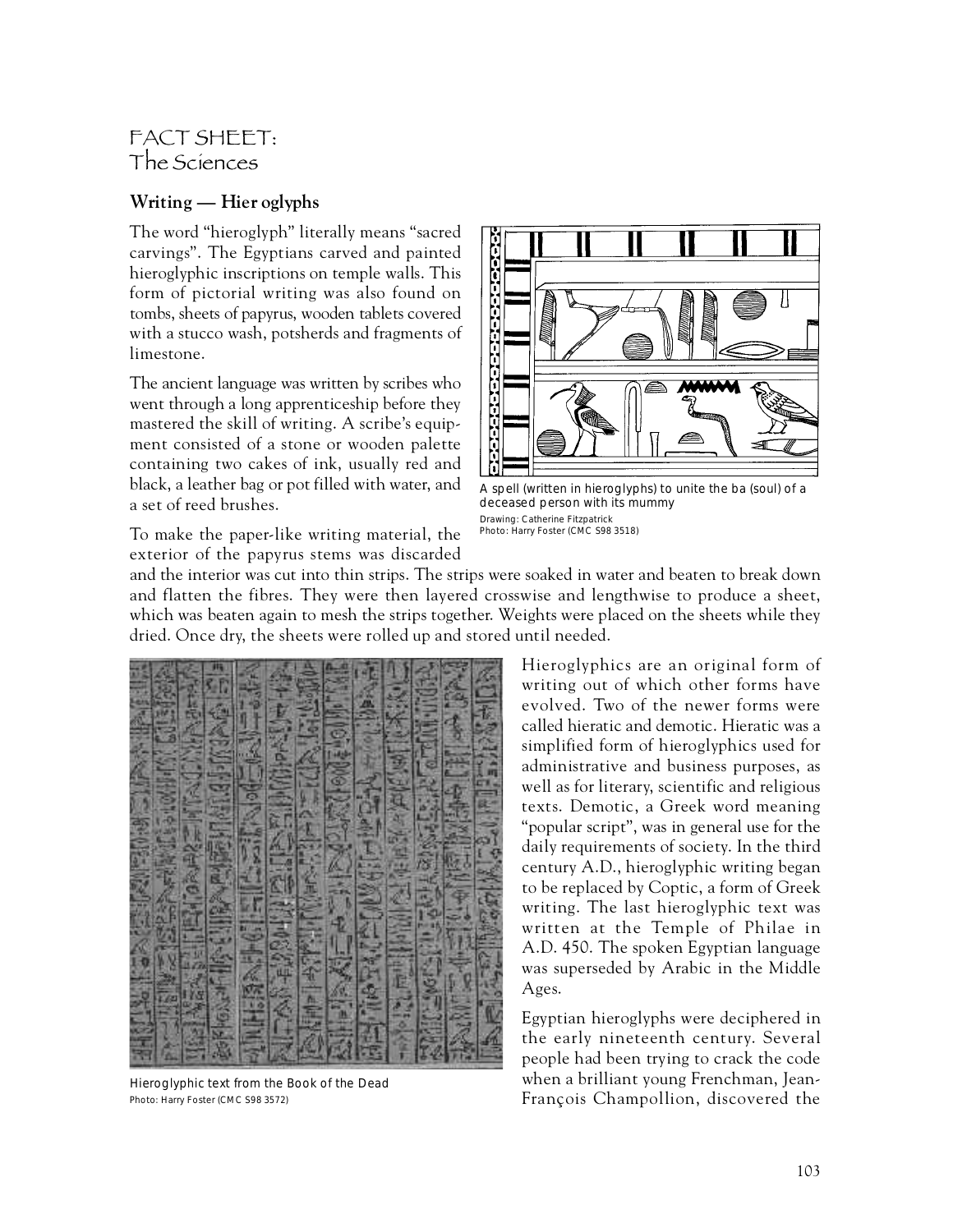# FACT SHEET: The Sciences

# **Writing — Hier oglyphs**

The word "hieroglyph" literally means "sacred carvings". The Egyptians carved and painted hieroglyphic inscriptions on temple walls. This form of pictorial writing was also found on tombs, sheets of papyrus, wooden tablets covered with a stucco wash, potsherds and fragments of limestone.

The ancient language was written by scribes who went through a long apprenticeship before they mastered the skill of writing. A scribe's equipment consisted of a stone or wooden palette containing two cakes of ink, usually red and black, a leather bag or pot filled with water, and a set of reed brushes.

To make the paper-like writing material, the exterior of the papyrus stems was discarded



A spell (written in hieroglyphs) to unite the ba (soul) of a deceased person with its mummy Drawing: Catherine Fitzpatrick Photo: Harry Foster (CMC S98 3518)

and the interior was cut into thin strips. The strips were soaked in water and beaten to break down and flatten the fibres. They were then layered crosswise and lengthwise to produce a sheet, which was beaten again to mesh the strips together. Weights were placed on the sheets while they dried. Once dry, the sheets were rolled up and stored until needed.

Hieroglyphic text from the Book of the Dead Photo: Harry Foster (CMC S98 3572)

Hieroglyphics are an original form of writing out of which other forms have evolved. Two of the newer forms were called hieratic and demotic. Hieratic was a simplified form of hieroglyphics used for administrative and business purposes, as well as for literary, scientific and religious texts. Demotic, a Greek word meaning "popular script", was in general use for the daily requirements of society. In the third century A.D., hieroglyphic writing began to be replaced by Coptic, a form of Greek writing. The last hieroglyphic text was written at the Temple of Philae in A.D. 450. The spoken Egyptian language was superseded by Arabic in the Middle Ages.

Egyptian hieroglyphs were deciphered in the early nineteenth century. Several people had been trying to crack the code when a brilliant young Frenchman, Jean-François Champollion, discovered the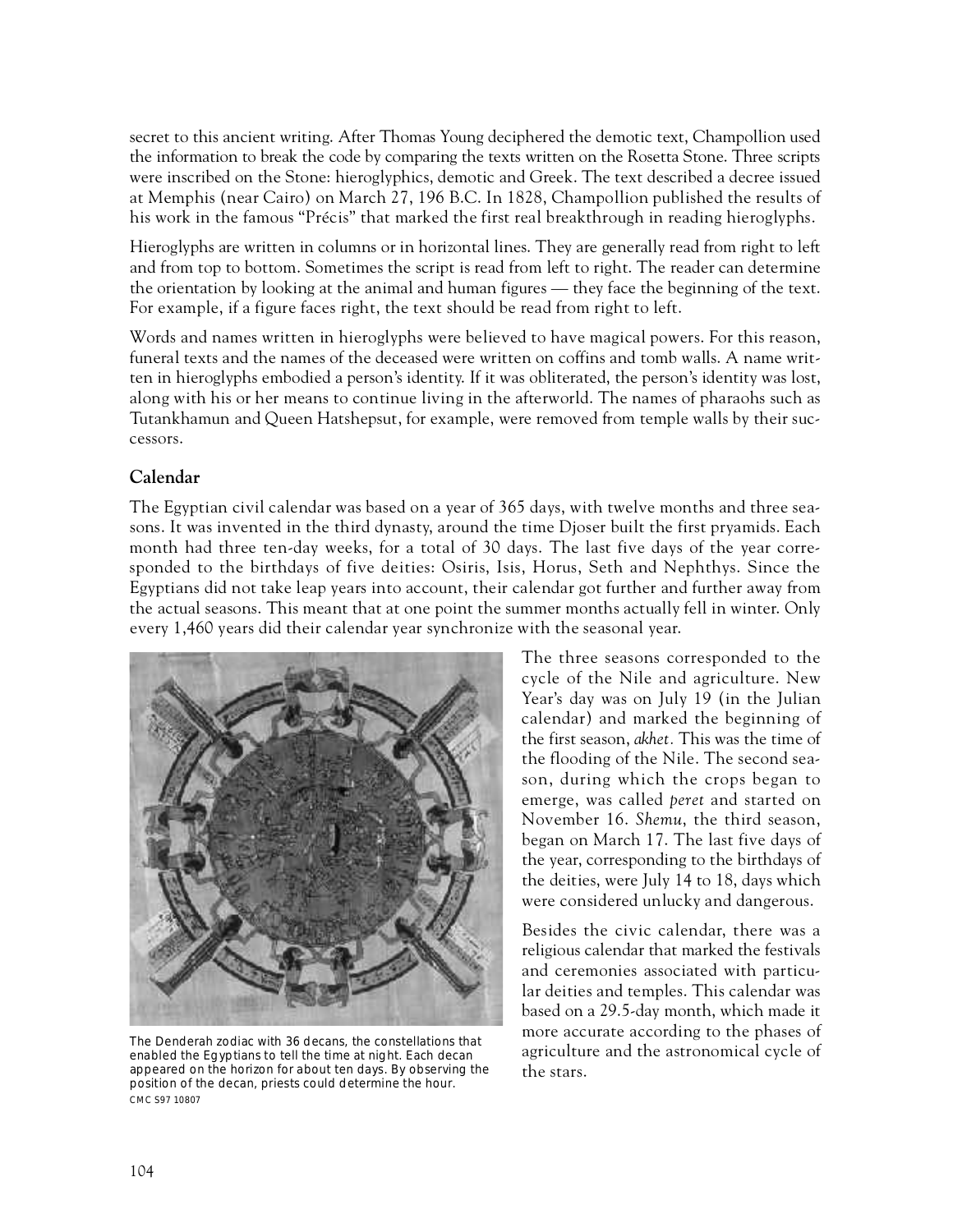secret to this ancient writing. After Thomas Young deciphered the demotic text, Champollion used the information to break the code by comparing the texts written on the Rosetta Stone. Three scripts were inscribed on the Stone: hieroglyphics, demotic and Greek. The text described a decree issued at Memphis (near Cairo) on March 27, 196 B.C. In 1828, Champollion published the results of his work in the famous "Précis" that marked the first real breakthrough in reading hieroglyphs.

Hieroglyphs are written in columns or in horizontal lines. They are generally read from right to left and from top to bottom. Sometimes the script is read from left to right. The reader can determine the orientation by looking at the animal and human figures — they face the beginning of the text. For example, if a figure faces right, the text should be read from right to left.

Words and names written in hieroglyphs were believed to have magical powers. For this reason, funeral texts and the names of the deceased were written on coffins and tomb walls. A name written in hieroglyphs embodied a person's identity. If it was obliterated, the person's identity was lost, along with his or her means to continue living in the afterworld. The names of pharaohs such as Tutankhamun and Queen Hatshepsut, for example, were removed from temple walls by their successors.

# Calendar

The Egyptian civil calendar was based on a year of 365 days, with twelve months and three seasons. It was invented in the third dynasty, around the time Djoser built the first pryamids. Each month had three ten-day weeks, for a total of 30 days. The last five days of the year corresponded to the birthdays of five deities: Osiris, Isis, Horus, Seth and Nephthys. Since the Egyptians did not take leap years into account, their calendar got further and further away from the actual seasons. This meant that at one point the summer months actually fell in winter. Only every 1,460 years did their calendar year synchronize with the seasonal year.



The Denderah zodiac with 36 decans, the constellations that enabled the Egyptians to tell the time at night. Each decan appeared on the horizon for about ten days. By observing the position of the decan, priests could determine the hour. CMC S97 10807

The three seasons corresponded to the cycle of the Nile and agriculture. New Year's day was on July 19 (in the Julian calendar) and marked the beginning of the first season, *akhet.* This was the time of the flooding of the Nile. The second season, during which the crops began to emerge, was called *peret* and started on November 16. Shemu, the third season, began on March 17. The last five days of the year, corresponding to the birthdays of the deities, were July 14 to 18, days which were considered unlucky and dangerous.

Besides the civic calendar, there was a religious calendar that marked the festivals and ceremonies associated with particular deities and temples. This calendar was based on a 29.5-day month, which made it more accurate according to the phases of agriculture and the astronomical cycle of the stars.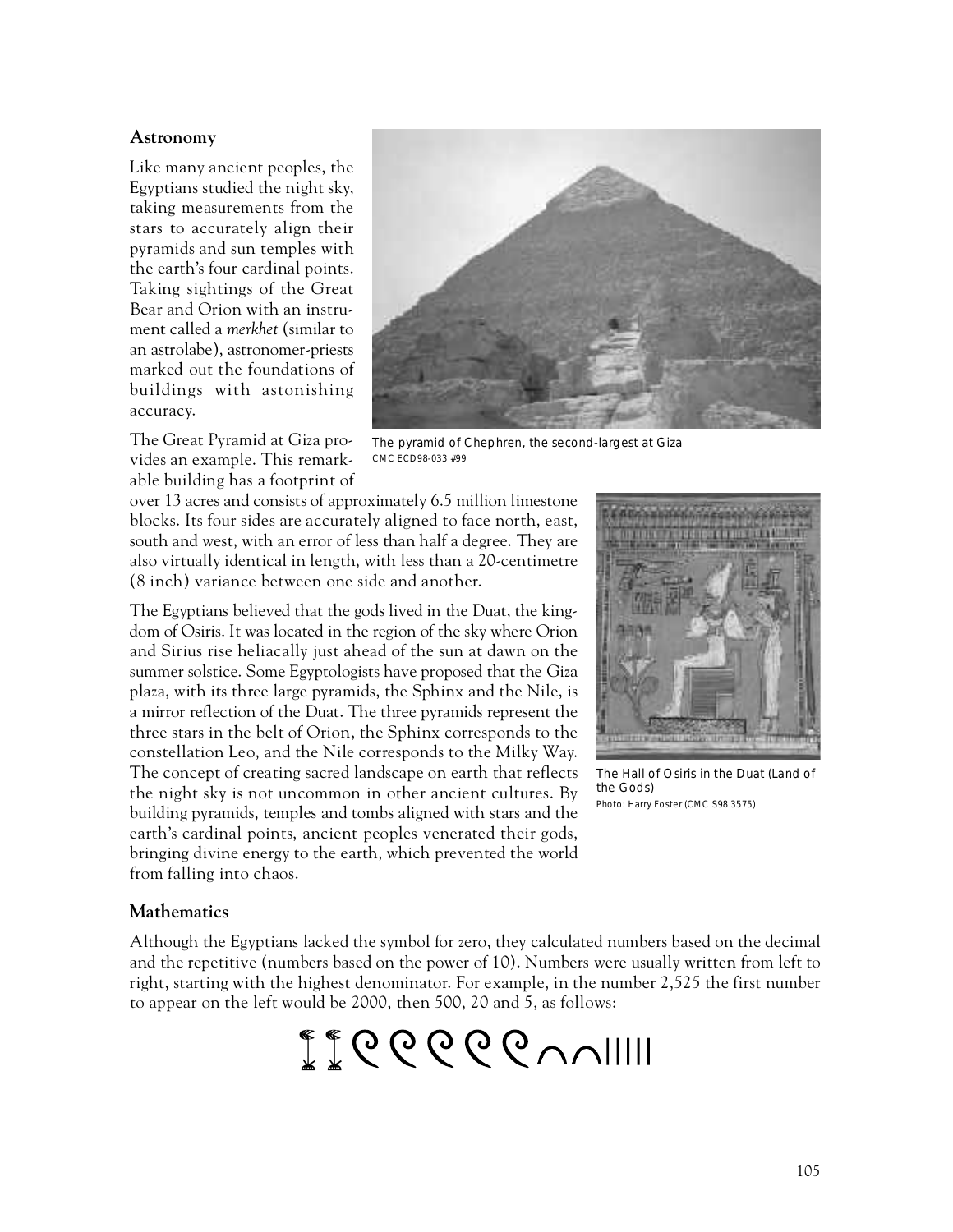#### Astronomy

Like many ancient peoples, the Egyptians studied the night sky, taking measurements from the stars to accurately align their pyramids and sun temples with the earth's four cardinal points. Taking sightings of the Great Bear and Orion with an instrument called a *merkhet* (similar to an astrolabe), astronomer-priests marked out the foundations of buildings with astonishing accuracy.

The Great Pyramid at Giza provides an example. This remarkable building has a footprint of



The pyramid of Chephren, the second-largest at Giza CMC ECD98-033 #99

over 13 acres and consists of approximately 6.5 million limestone blocks. Its four sides are accurately aligned to face north, east, south and west, with an error of less than half a degree. They are also virtually identical in length, with less than a 20-centimetre (8 inch) variance between one side and another.

The Egyptians believed that the gods lived in the Duat, the kingdom of Osiris. It was located in the region of the sky where Orion and Sirius rise heliacally just ahead of the sun at dawn on the summer solstice. Some Egyptologists have proposed that the Giza plaza, with its three large pyramids, the Sphinx and the Nile, is a mirror reflection of the Duat. The three pyramids represent the three stars in the belt of Orion, the Sphinx corresponds to the constellation Leo, and the Nile corresponds to the Milky Way. The concept of creating sacred landscape on earth that reflects the night sky is not uncommon in other ancient cultures. By building pyramids, temples and tombs aligned with stars and the earth's cardinal points, ancient peoples venerated their gods, bringing divine energy to the earth, which prevented the world from falling into chaos.



The Hall of Osiris in the Duat (Land of the Gods) Photo: Harry Foster (CMC S98 3575)

# **Mathematics**

Although the Egyptians lacked the symbol for zero, they calculated numbers based on the decimal and the repetitive (numbers based on the power of 10). Numbers were usually written from left to right, starting with the highest denominator. For example, in the number 2,525 the first number to appear on the left would be 2000, then 500, 20 and 5, as follows:

 $\mathbb{Z}^*$ CCCCC $\vee$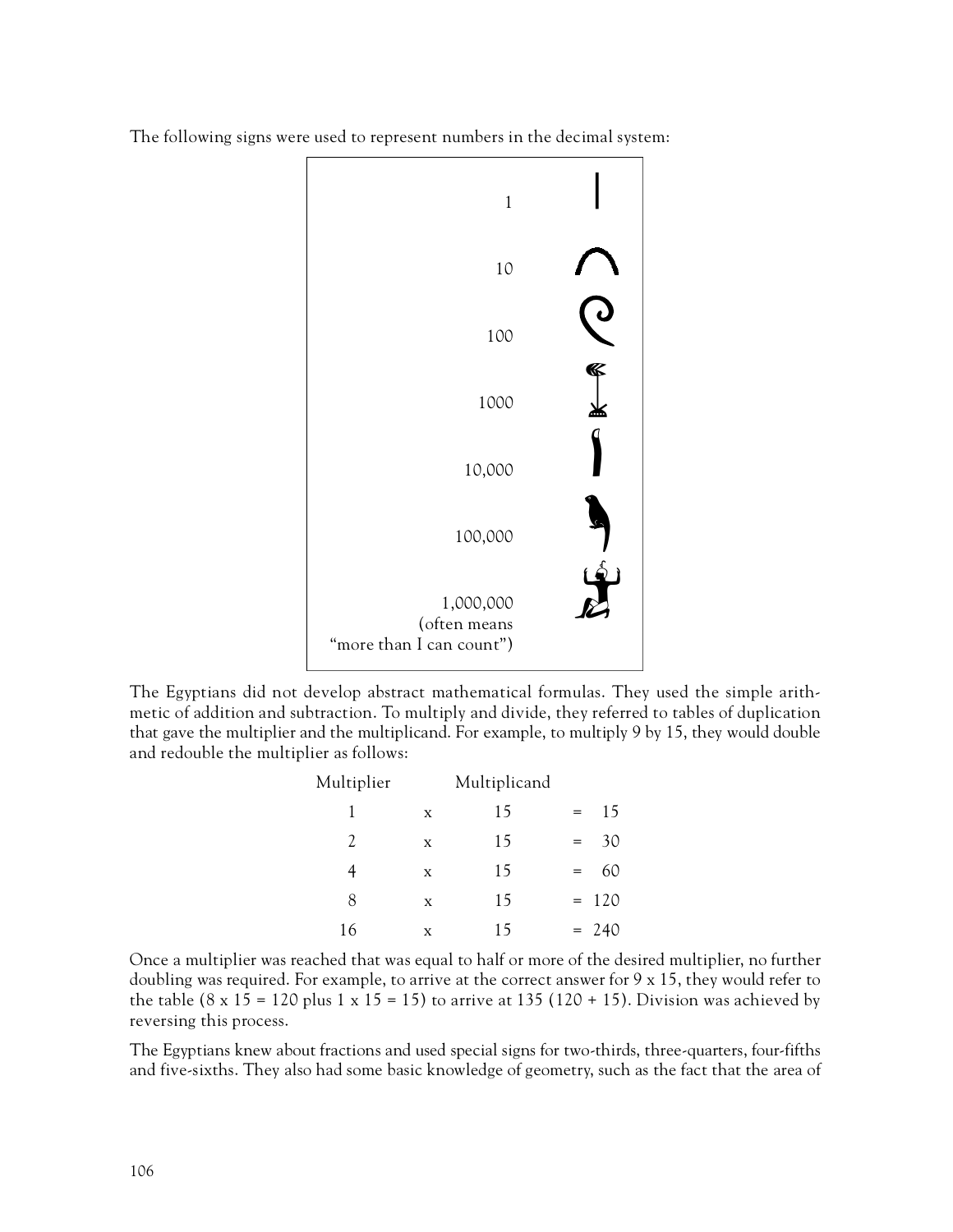



The Egyptians did not develop abstract mathematical formulas. They used the simple arithmetic of addition and subtraction. To multiply and divide, they referred to tables of duplication that gave the multiplier and the multiplicand. For example, to multiply 9 by 15, they would double and redouble the multiplier as follows:

| Multiplier    |   | Multiplicand |     |         |
|---------------|---|--------------|-----|---------|
| 1             | X | 15           | $=$ | 15      |
| $\mathcal{L}$ | X | 15           | $=$ | 30      |
| 4             | X | 15           | $=$ | 60      |
| 8             | X | 15           |     | $= 120$ |
| 16            | X | 15           |     | $= 240$ |

Once a multiplier was reached that was equal to half or more of the desired multiplier, no further doubling was required. For example, to arrive at the correct answer for  $9 \times 15$ , they would refer to the table  $(8 \times 15 = 120 \text{ plus } 1 \times 15 = 15)$  to arrive at 135 (120 + 15). Division was achieved by reversing this process.

The Egyptians knew about fractions and used special signs for two-thirds, three-quarters, four-fifths and five-sixths. They also had some basic knowledge of geometry, such as the fact that the area of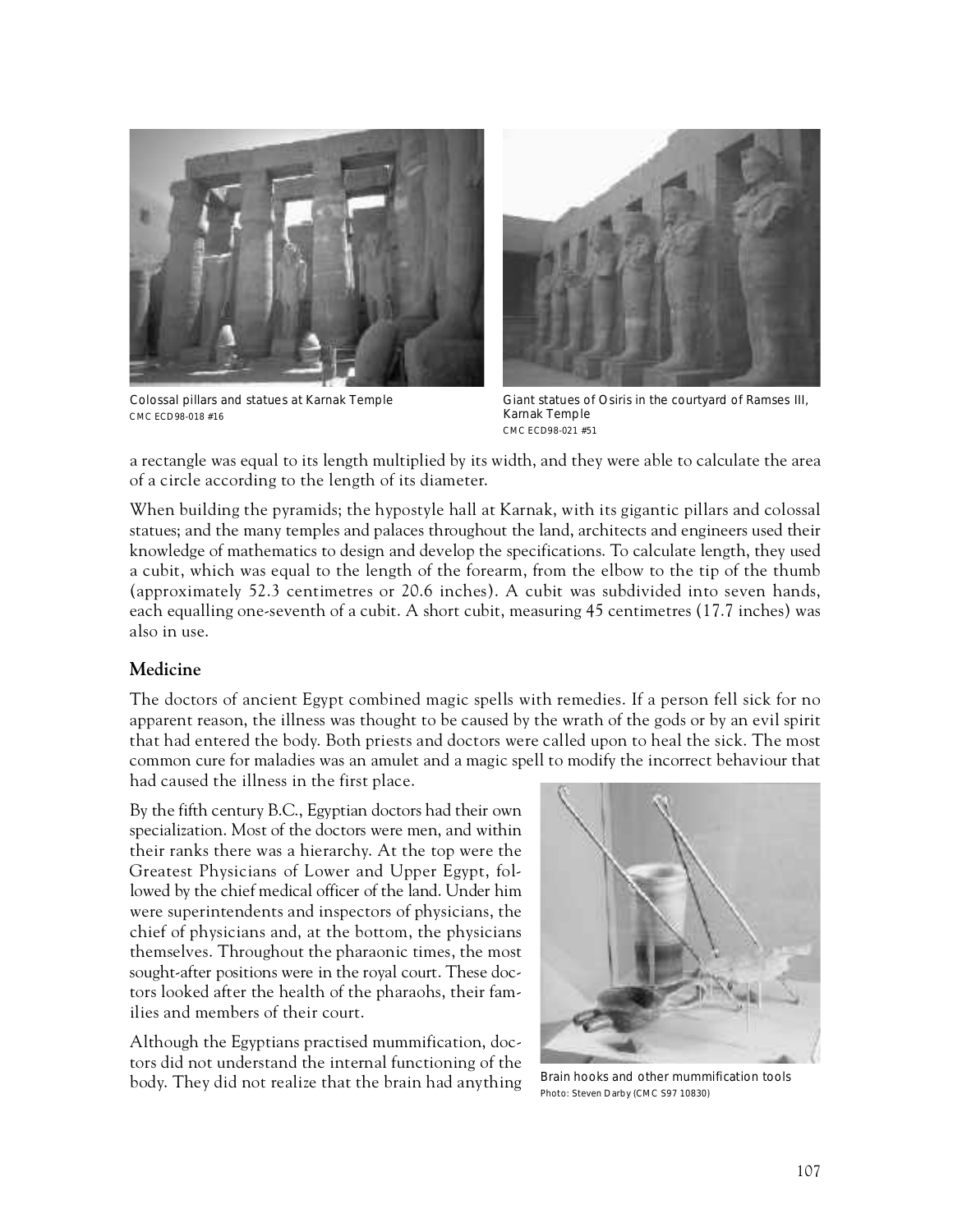

Colossal pillars and statues at Karnak Temple CMC ECD98-018 #16



Giant statues of Osiris in the courtyard of Ramses III, Karnak Temple CMC ECD98-021 #51

a rectangle was equal to its length multiplied by its width, and they were able to calculate the area of a circle according to the length of its diameter.

When building the pyramids; the hypostyle hall at Karnak, with its gigantic pillars and colossal statues; and the many temples and palaces throughout the land, architects and engineers used their knowledge of mathematics to design and develop the specifications. To calculate length, they used a cubit, which was equal to the length of the forearm, from the elbow to the tip of the thumb (approximately 52.3 centimetres or 20.6 inches). A cubit was subdivided into seven hands, each equalling one-seventh of a cubit. A short cubit, measuring 45 centimetres (17.7 inches) was also in use.

### **Medicine**

The doctors of ancient Egypt combined magic spells with remedies. If a person fell sick for no apparent reason, the illness was thought to be caused by the wrath of the gods or by an evil spirit that had entered the body. Both priests and doctors were called upon to heal the sick. The most common cure for maladies was an amulet and a magic spell to modify the incorrect behaviour that had caused the illness in the first place.

By the fifth century B.C., Egyptian doctors had their own specialization. Most of the doctors were men, and within their ranks there was a hierarchy. At the top were the Greatest Physicians of Lower and Upper Egypt, followed by the chief medical officer of the land. Under him were superintendents and inspectors of physicians, the chief of physicians and, at the bottom, the physicians themselves. Throughout the pharaonic times, the most sought-after positions were in the royal court. These doctors looked after the health of the pharaohs, their families and members of their court.

Although the Egyptians practised mummification, doctors did not understand the internal functioning of the body. They did not realize that the brain had anything



Brain hooks and other mummification tools Photo: Steven Darby (CMC S97 10830)